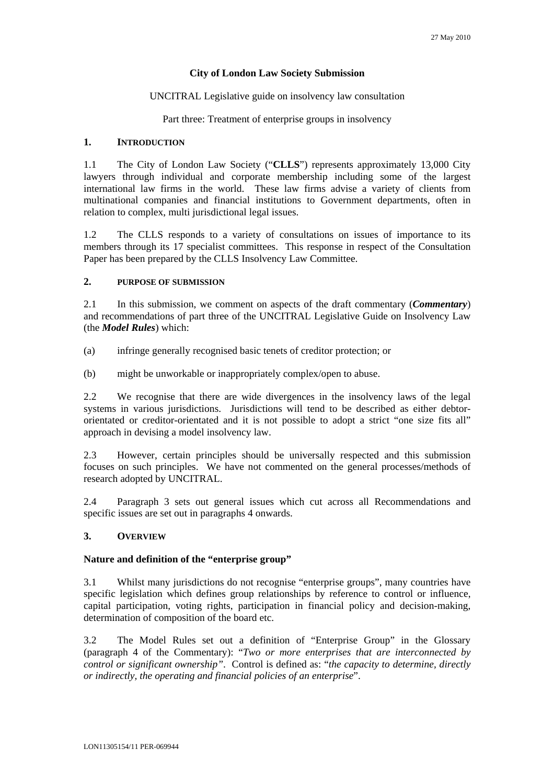### **City of London Law Society Submission**

### UNCITRAL Legislative guide on insolvency law consultation

Part three: Treatment of enterprise groups in insolvency

### **1. INTRODUCTION**

1.1 The City of London Law Society ("**CLLS**") represents approximately 13,000 City lawyers through individual and corporate membership including some of the largest international law firms in the world. These law firms advise a variety of clients from multinational companies and financial institutions to Government departments, often in relation to complex, multi jurisdictional legal issues.

1.2 The CLLS responds to a variety of consultations on issues of importance to its members through its 17 specialist committees. This response in respect of the Consultation Paper has been prepared by the CLLS Insolvency Law Committee.

# **2. PURPOSE OF SUBMISSION**

2.1 In this submission, we comment on aspects of the draft commentary (*Commentary*) and recommendations of part three of the UNCITRAL Legislative Guide on Insolvency Law (the *Model Rules*) which:

- (a) infringe generally recognised basic tenets of creditor protection; or
- (b) might be unworkable or inappropriately complex/open to abuse.

2.2 We recognise that there are wide divergences in the insolvency laws of the legal systems in various jurisdictions. Jurisdictions will tend to be described as either debtororientated or creditor-orientated and it is not possible to adopt a strict "one size fits all" approach in devising a model insolvency law.

2.3 However, certain principles should be universally respected and this submission focuses on such principles. We have not commented on the general processes/methods of research adopted by UNCITRAL.

2.4 Paragraph 3 sets out general issues which cut across all Recommendations and specific issues are set out in paragraphs 4 onwards.

## **3. OVERVIEW**

### **Nature and definition of the "enterprise group"**

3.1 Whilst many jurisdictions do not recognise "enterprise groups", many countries have specific legislation which defines group relationships by reference to control or influence, capital participation, voting rights, participation in financial policy and decision-making, determination of composition of the board etc.

3.2 The Model Rules set out a definition of "Enterprise Group" in the Glossary (paragraph 4 of the Commentary): "*Two or more enterprises that are interconnected by control or significant ownership"*. Control is defined as: "*the capacity to determine, directly or indirectly, the operating and financial policies of an enterprise*".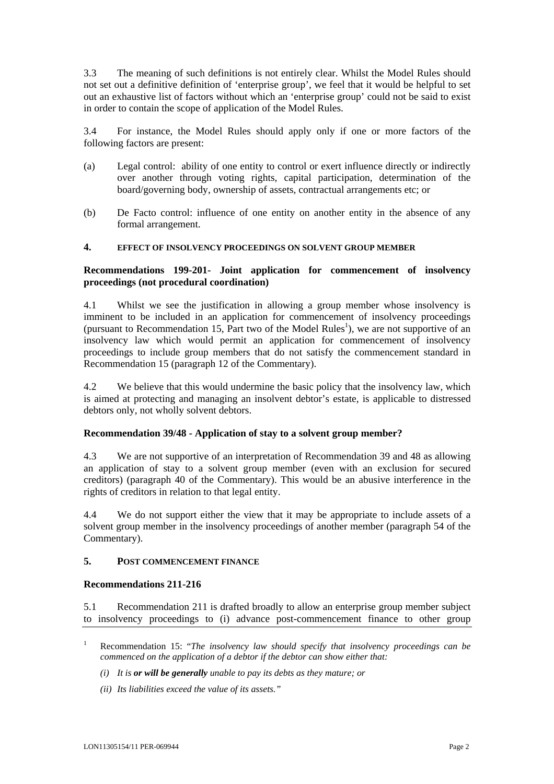3.3 The meaning of such definitions is not entirely clear. Whilst the Model Rules should not set out a definitive definition of 'enterprise group', we feel that it would be helpful to set out an exhaustive list of factors without which an 'enterprise group' could not be said to exist in order to contain the scope of application of the Model Rules.

3.4 For instance, the Model Rules should apply only if one or more factors of the following factors are present:

- (a) Legal control: ability of one entity to control or exert influence directly or indirectly over another through voting rights, capital participation, determination of the board/governing body, ownership of assets, contractual arrangements etc; or
- (b) De Facto control: influence of one entity on another entity in the absence of any formal arrangement.

### **4. EFFECT OF INSOLVENCY PROCEEDINGS ON SOLVENT GROUP MEMBER**

# **Recommendations 199-201- Joint application for commencement of insolvency proceedings (not procedural coordination)**

4.1 Whilst we see the justification in allowing a group member whose insolvency is imminent to be included in an application for commencement of insolvency proceedings (pursuant to Recommendation [1](#page-1-0)5, Part two of the Model Rules<sup>1</sup>), we are not supportive of an insolvency law which would permit an application for commencement of insolvency proceedings to include group members that do not satisfy the commencement standard in Recommendation 15 (paragraph 12 of the Commentary).

4.2 We believe that this would undermine the basic policy that the insolvency law, which is aimed at protecting and managing an insolvent debtor's estate, is applicable to distressed debtors only, not wholly solvent debtors.

## **Recommendation 39/48 - Application of stay to a solvent group member?**

4.3 We are not supportive of an interpretation of Recommendation 39 and 48 as allowing an application of stay to a solvent group member (even with an exclusion for secured creditors) (paragraph 40 of the Commentary). This would be an abusive interference in the rights of creditors in relation to that legal entity.

4.4 We do not support either the view that it may be appropriate to include assets of a solvent group member in the insolvency proceedings of another member (paragraph 54 of the Commentary).

### **5. POST COMMENCEMENT FINANCE**

### **Recommendations 211-216**

5.1 Recommendation 211 is drafted broadly to allow an enterprise group member subject to insolvency proceedings to (i) advance post-commencement finance to other group

- *(i) It is or will be generally unable to pay its debts as they mature; or*
- *(ii) Its liabilities exceed the value of its assets."*

<span id="page-1-0"></span><sup>1</sup> Recommendation 15: "*The insolvency law should specify that insolvency proceedings can be commenced on the application of a debtor if the debtor can show either that:*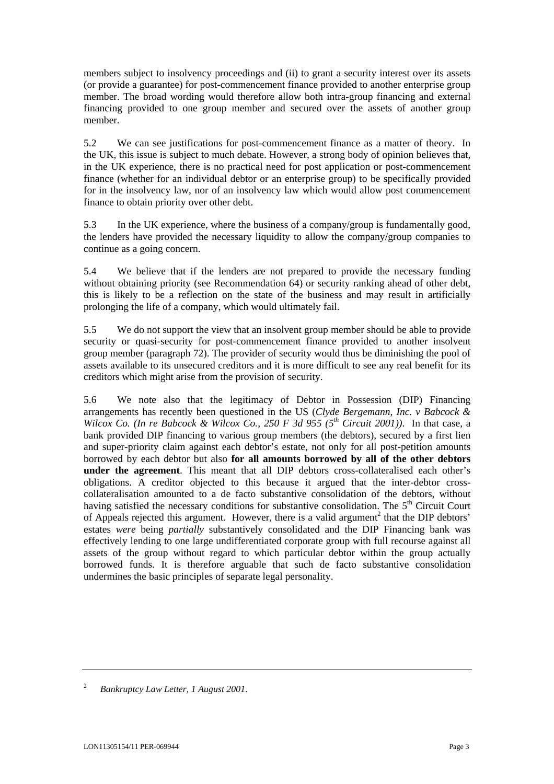members subject to insolvency proceedings and (ii) to grant a security interest over its assets (or provide a guarantee) for post-commencement finance provided to another enterprise group member. The broad wording would therefore allow both intra-group financing and external financing provided to one group member and secured over the assets of another group member.

5.2 We can see justifications for post-commencement finance as a matter of theory. In the UK, this issue is subject to much debate. However, a strong body of opinion believes that, in the UK experience, there is no practical need for post application or post-commencement finance (whether for an individual debtor or an enterprise group) to be specifically provided for in the insolvency law, nor of an insolvency law which would allow post commencement finance to obtain priority over other debt.

5.3 In the UK experience, where the business of a company/group is fundamentally good, the lenders have provided the necessary liquidity to allow the company/group companies to continue as a going concern.

5.4 We believe that if the lenders are not prepared to provide the necessary funding without obtaining priority (see Recommendation 64) or security ranking ahead of other debt, this is likely to be a reflection on the state of the business and may result in artificially prolonging the life of a company, which would ultimately fail.

5.5 We do not support the view that an insolvent group member should be able to provide security or quasi-security for post-commencement finance provided to another insolvent group member (paragraph 72). The provider of security would thus be diminishing the pool of assets available to its unsecured creditors and it is more difficult to see any real benefit for its creditors which might arise from the provision of security.

5.6 We note also that the legitimacy of Debtor in Possession (DIP) Financing arrangements has recently been questioned in the US (*Clyde Bergemann, Inc. v Babcock & Wilcox Co. (In re Babcock & Wilcox Co., 250 F 3d 955 (5th Circuit 2001))*. In that case, a bank provided DIP financing to various group members (the debtors), secured by a first lien and super-priority claim against each debtor's estate, not only for all post-petition amounts borrowed by each debtor but also **for all amounts borrowed by all of the other debtors under the agreement**. This meant that all DIP debtors cross-collateralised each other's obligations. A creditor objected to this because it argued that the inter-debtor crosscollateralisation amounted to a de facto substantive consolidation of the debtors, without having satisfied the necessary conditions for substantive consolidation. The  $5<sup>th</sup>$  Circuit Court ofAppeals rejected this argument. However, there is a valid argument<sup>2</sup> that the DIP debtors' estates *were* being *partially* substantively consolidated and the DIP Financing bank was effectively lending to one large undifferentiated corporate group with full recourse against all assets of the group without regard to which particular debtor within the group actually borrowed funds. It is therefore arguable that such de facto substantive consolidation undermines the basic principles of separate legal personality.

<span id="page-2-0"></span><sup>2</sup> *Bankruptcy Law Letter, 1 August 2001*.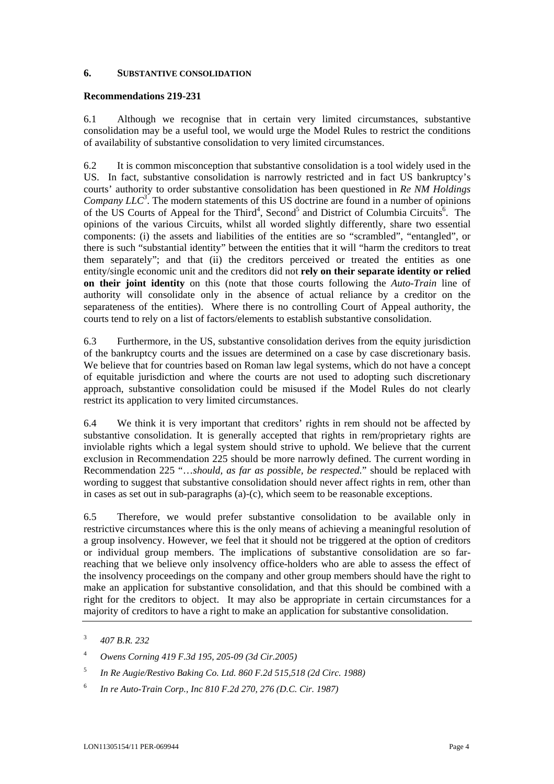### **6. SUBSTANTIVE CONSOLIDATION**

### **Recommendations 219-231**

6.1 Although we recognise that in certain very limited circumstances, substantive consolidation may be a useful tool, we would urge the Model Rules to restrict the conditions of availability of substantive consolidation to very limited circumstances.

6.2 It is common misconception that substantive consolidation is a tool widely used in the US. In fact, substantive consolidation is narrowly restricted and in fact US bankruptcy's courts' authority to order substantive consolidation has been questioned in *Re NM Holdings*  Company LLC<sup>[3](#page-3-0)</sup>. The modern statements of this US doctrine are found in a number of opinions of the US Courts of Appeal for the Third<sup>[4](#page-3-1)</sup>, Second<sup>[5](#page-3-2)</sup> and District of Columbia Circuits<sup>6</sup>[.](#page-3-3) The opinions of the various Circuits, whilst all worded slightly differently, share two essential components: (i) the assets and liabilities of the entities are so "scrambled", "entangled", or there is such "substantial identity" between the entities that it will "harm the creditors to treat them separately"; and that (ii) the creditors perceived or treated the entities as one entity/single economic unit and the creditors did not **rely on their separate identity or relied on their joint identity** on this (note that those courts following the *Auto-Train* line of authority will consolidate only in the absence of actual reliance by a creditor on the separateness of the entities). Where there is no controlling Court of Appeal authority, the courts tend to rely on a list of factors/elements to establish substantive consolidation.

6.3 Furthermore, in the US, substantive consolidation derives from the equity jurisdiction of the bankruptcy courts and the issues are determined on a case by case discretionary basis. We believe that for countries based on Roman law legal systems, which do not have a concept of equitable jurisdiction and where the courts are not used to adopting such discretionary approach, substantive consolidation could be misused if the Model Rules do not clearly restrict its application to very limited circumstances.

6.4 We think it is very important that creditors' rights in rem should not be affected by substantive consolidation. It is generally accepted that rights in rem/proprietary rights are inviolable rights which a legal system should strive to uphold. We believe that the current exclusion in Recommendation 225 should be more narrowly defined. The current wording in Recommendation 225 "…*should, as far as possible, be respected.*" should be replaced with wording to suggest that substantive consolidation should never affect rights in rem, other than in cases as set out in sub-paragraphs (a)-(c), which seem to be reasonable exceptions.

6.5 Therefore, we would prefer substantive consolidation to be available only in restrictive circumstances where this is the only means of achieving a meaningful resolution of a group insolvency. However, we feel that it should not be triggered at the option of creditors or individual group members. The implications of substantive consolidation are so farreaching that we believe only insolvency office-holders who are able to assess the effect of the insolvency proceedings on the company and other group members should have the right to make an application for substantive consolidation, and that this should be combined with a right for the creditors to object. It may also be appropriate in certain circumstances for a majority of creditors to have a right to make an application for substantive consolidation.

- <span id="page-3-2"></span>5 *In Re Augie/Restivo Baking Co. Ltd. 860 F.2d 515,518 (2d Circ. 1988)*
- <span id="page-3-3"></span>6 *In re Auto-Train Corp., Inc 810 F.2d 270, 276 (D.C. Cir. 1987)*

<span id="page-3-0"></span><sup>3</sup> *407 B.R. 232*

<span id="page-3-1"></span><sup>4</sup> *Owens Corning 419 F.3d 195, 205-09 (3d Cir.2005)*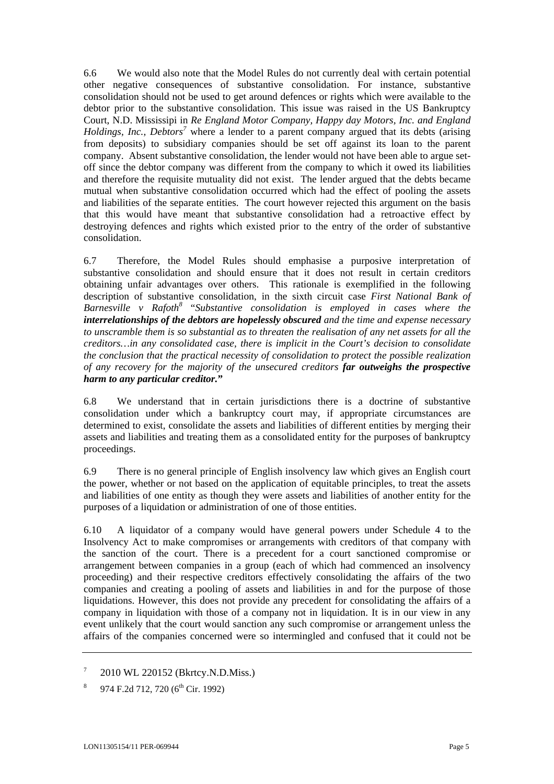6.6 We would also note that the Model Rules do not currently deal with certain potential other negative consequences of substantive consolidation. For instance, substantive consolidation should not be used to get around defences or rights which were available to the debtor prior to the substantive consolidation. This issue was raised in the US Bankruptcy Court, N.D. Mississipi in *Re England Motor Company, Happy day Motors, Inc. and England Holdings, Inc., Debtors[7](#page-4-0)* where a lender to a parent company argued that its debts (arising from deposits) to subsidiary companies should be set off against its loan to the parent company. Absent substantive consolidation, the lender would not have been able to argue setoff since the debtor company was different from the company to which it owed its liabilities and therefore the requisite mutuality did not exist. The lender argued that the debts became mutual when substantive consolidation occurred which had the effect of pooling the assets and liabilities of the separate entities. The court however rejected this argument on the basis that this would have meant that substantive consolidation had a retroactive effect by destroying defences and rights which existed prior to the entry of the order of substantive consolidation.

6.7 Therefore, the Model Rules should emphasise a purposive interpretation of substantive consolidation and should ensure that it does not result in certain creditors obtaining unfair advantages over others. This rationale is exemplified in the following description of substantive consolidation, in the sixth circuit case *First National Bank of Barnesville v Rafoth[8](#page-4-1)* "*Substantive consolidation is employed in cases where the interrelationships of the debtors are hopelessly obscured and the time and expense necessary to unscramble them is so substantial as to threaten the realisation of any net assets for all the creditors…in any consolidated case, there is implicit in the Court's decision to consolidate the conclusion that the practical necessity of consolidation to protect the possible realization of any recovery for the majority of the unsecured creditors far outweighs the prospective harm to any particular creditor.***"** 

6.8 We understand that in certain jurisdictions there is a doctrine of substantive consolidation under which a bankruptcy court may, if appropriate circumstances are determined to exist, consolidate the assets and liabilities of different entities by merging their assets and liabilities and treating them as a consolidated entity for the purposes of bankruptcy proceedings.

6.9 There is no general principle of English insolvency law which gives an English court the power, whether or not based on the application of equitable principles, to treat the assets and liabilities of one entity as though they were assets and liabilities of another entity for the purposes of a liquidation or administration of one of those entities.

6.10 A liquidator of a company would have general powers under Schedule 4 to the Insolvency Act to make compromises or arrangements with creditors of that company with the sanction of the court. There is a precedent for a court sanctioned compromise or arrangement between companies in a group (each of which had commenced an insolvency proceeding) and their respective creditors effectively consolidating the affairs of the two companies and creating a pooling of assets and liabilities in and for the purpose of those liquidations. However, this does not provide any precedent for consolidating the affairs of a company in liquidation with those of a company not in liquidation. It is in our view in any event unlikely that the court would sanction any such compromise or arrangement unless the affairs of the companies concerned were so intermingled and confused that it could not be

- <span id="page-4-0"></span>7 2010 WL 220152 (Bkrtcy.N.D.Miss.)
- <span id="page-4-1"></span>8 974 F.2d 712, 720 (6<sup>th</sup> Cir. 1992)